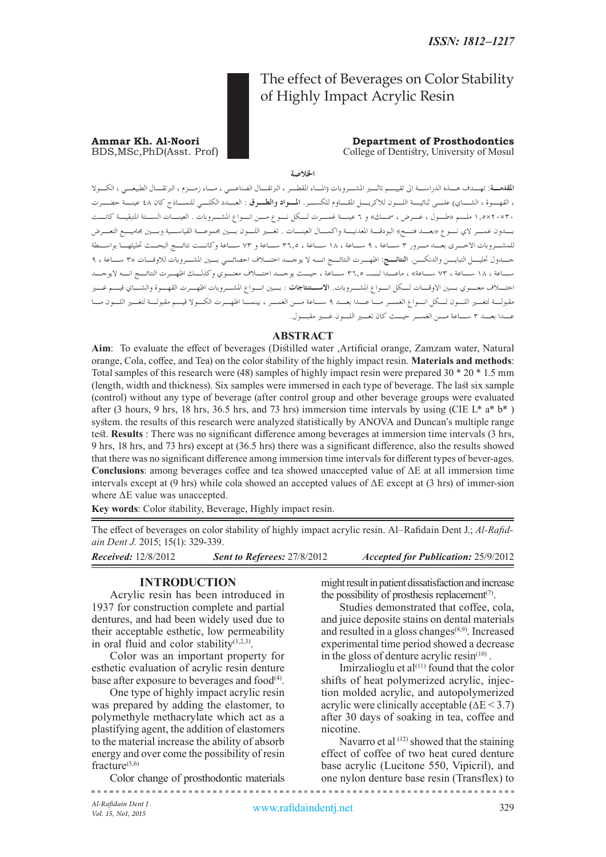# The effect of Beverages on Color Stability of Highly Impact Acrylic Resin

#### **Ammar Kh. Al-Noori Department of Prosthodontics**<br>BDS, MSc, PhD(Asst. Prof) **Department of Prosthodontics** College of Dentistry, University of Mosul

# **اخلالصة**

.<br>**المقدمــة**: تهــدف هـــذه الدراســـة الى تقييـــم تاثـــير المشـــروبات (المـــاء المقطـــر ، البرتقـــــون ، الم ، القهــوة ، الشـــاي) علـــي ثنائيــــة اللـــون للاكريـــل المقـــاوم للكســـر . ا**لمــواد والطـــوق** : العـــدد الكلـــي للنمـــاذج كان ٤٨ عينـــة حضـــرت 30×20×1.5 ملـم »طـول ، عـرض ، مسـك« و 6 عينـة غمـرت لـكل نـوع مـن انـواع املشـروبات . العينـات السـتة املتبقيـة كانـت بـدون غمـر الي نـوع »بعـد فتـح« البودقـة املعدنيـة واكمـال العينـات . تغـر اللـون بـن جمموعـة القياسـية وبـن جماميـع التعـرض للمشـروبات االخـرى بعـد مـرور 3 سـاعة ، 9 سـاعة ، 18 سـاعة ، 36.5 سـاعة و 73 سـاعة وكانـت نتائـج البحـث حتليلهـا بواسـطة جـدول حتليـل التبايـن والدنكـن. **النتائـج**: اظهـرت النتائـج انـه ال يوجـد اختـاف احصائـي بـن املشـروبات لالوقـات »3 سـاعة ، 9 سـاعة ، 18 سـاعة ، 73 سـاعة« ، ماعـدا لــ 36.5 سـاعة ، حيـث يوجـد اختـاف معنـوي وكذلـك اظهـرت النتائـج انـه اليوجـد اختـاف معنـوي بـن االوقـات لـكل انـواع املشـروبات. **االسـتنتاجات** : بـن انـواع املشـروبات اظهـرت القهـوة والشـاي قيـم غـر مقبولـة لتغـر اللـون لـكل انـواع الغمـر مـا عـدا بعـد 9 سـاعة مـن الغمـر ، بينمـا اظهـرت الكـوال قيـم مقبولـة لتغـر اللـون مـا عـدا بعـد 3 سـاعة مـن الغمـر حيـث كان تغـر اللـون غـر مقبـول.

# **ABSTRACT**

**Aim**: To evaluate the effect of beverages (Distilled water ,Artificial orange, Zamzam water, Natural orange, Cola, coffee, and Tea) on the color stability of the highly impact resin. **Materials and methods**: Total samples of this research were (48) samples of highly impact resin were prepared 30 \* 20 \* 1.5 mm (length, width and thickness). Six samples were immersed in each type of beverage. The last six sample (control) without any type of beverage (after control group and other beverage groups were evaluated after (3 hours, 9 hrs, 18 hrs, 36.5 hrs, and 73 hrs) immersion time intervals by using (CIE L\* a\* b\* ) system. the results of this research were analyzed statistically by ANOVA and Duncan's multiple range test. **Results** : There was no significant difference among beverages at immersion time intervals (3 hrs, 9 hrs, 18 hrs, and 73 hrs) except at (36.5 hrs) there was a significant difference, also the results showed that there was no significant difference among immersion time intervals for different types of bever-ages. **Conclusions**: among beverages coffee and tea showed unaccepted value of ΔE at all immersion time intervals except at (9 hrs) while cola showed an accepted values of  $\Delta E$  except at (3 hrs) of immer-sion where ΔE value was unaccepted.

Key words: Color stability, Beverage, Highly impact resin.

The effect of beverages on color stability of highly impact acrylic resin. Al–Rafidain Dent J.; *Al-Rafidain Dent J.* 2015; 15(1): 329-339.

*Received:* 12/8/2012 *Sent to Referees:* 27/8/2012 *Accepted for Publication:* 25/9/2012

# **INTRODUCTION**

Acrylic resin has been introduced in 1937 for construction complete and partial dentures, and had been widely used due to their acceptable esthetic, low permeability in oral fluid and color stability $(1,2,3)$ .

Color was an important property for esthetic evaluation of acrylic resin denture base after exposure to beverages and food $^{(4)}$ .

One type of highly impact acrylic resin was prepared by adding the elastomer, to polymethyle methacrylate which act as a plastifying agent, the addition of elastomers to the material increase the ability of absorb energy and over come the possibility of resin fracture $(5,6)$ 

Color change of prosthodontic materials

might result in patient dissatisfaction and increase the possibility of prosthesis replacement<sup> $(7)$ </sup>.

Studies demonstrated that coffee, cola, and juice deposite stains on dental materials and resulted in a gloss changes $(8,9)$ . Increased experimental time period showed a decrease in the gloss of denture acrylic resin $(10)$ .

Imirzalioglu et al $(11)$  found that the color shifts of heat polymerized acrylic, injection molded acrylic, and autopolymerized acrylic were clinically acceptable  $(\Delta E < 3.7)$ after 30 days of soaking in tea, coffee and nicotine.

Navarro et al  $(12)$  showed that the staining effect of coffee of two heat cured denture base acrylic (Lucitone 550, Vipicril), and one nylon denture base resin (Transflex) to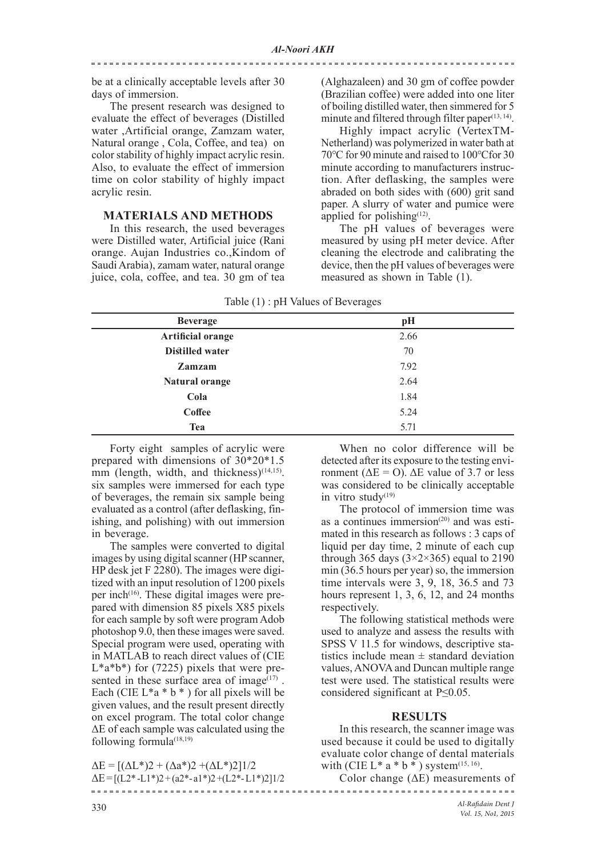be at a clinically acceptable levels after 30 days of immersion.

The present research was designed to evaluate the effect of beverages (Distilled water ,Artificial orange, Zamzam water, Natural orange , Cola, Coffee, and tea) on color stability of highly impact acrylic resin. Also, to evaluate the effect of immersion time on color stability of highly impact acrylic resin.

# **MATERIALS AND METHODS**

In this research, the used beverages were Distilled water, Artificial juice (Rani orange. Aujan Industries co.,Kindom of Saudi Arabia), zamam water, natural orange juice, cola, coffee, and tea. 30 gm of tea

(Alghazaleen) and 30 gm of coffee powder (Brazilian coffee) were added into one liter of boiling distilled water, then simmered for 5 minute and filtered through filter paper $(13, 14)$ .

Highly impact acrylic (VertexTM-Netherland) was polymerized in water bath at 70℃ for 90 minute and raised to 100℃for 30 minute according to manufacturers instruction. After deflasking, the samples were abraded on both sides with (600) grit sand paper. A slurry of water and pumice were applied for polishing $(12)$ .

The pH values of beverages were measured by using pH meter device. After cleaning the electrode and calibrating the device, then the pH values of beverages were measured as shown in Table (1).

Table (1) : pH Values of Beverages

| <b>Beverage</b>          | pH   |
|--------------------------|------|
| <b>Artificial orange</b> | 2.66 |
| Distilled water          | 70   |
| <b>Zamzam</b>            | 7.92 |
| Natural orange           | 2.64 |
| Cola                     | 1.84 |
| <b>Coffee</b>            | 5.24 |
| <b>Tea</b>               | 5.71 |

Forty eight samples of acrylic were prepared with dimensions of 30\*20\*1.5  $\text{mm}$  (length, width, and thickness)<sup>(14,15)</sup>. six samples were immersed for each type of beverages, the remain six sample being evaluated as a control (after deflasking, finishing, and polishing) with out immersion in beverage.

The samples were converted to digital images by using digital scanner (HP scanner, HP desk jet F 2280). The images were digitized with an input resolution of 1200 pixels per inch<sup>(16)</sup>. These digital images were prepared with dimension 85 pixels X85 pixels for each sample by soft were program Adob photoshop 9.0, then these images were saved. Special program were used, operating with in MATLAB to reach direct values of (CIE  $L^*a^*b^*$ ) for (7225) pixels that were presented in these surface area of image $(17)$ . Each (CIE  $L^*a * b *$ ) for all pixels will be given values, and the result present directly on excel program. The total color change ΔE of each sample was calculated using the following formula $(18,19)$ 

 $\Delta E = [(\Delta L^*)2 + (\Delta a^*)2 + (\Delta L^*)2]1/2$  $\Delta E = [(L2* -L1*)^2 + (a2*-a1*)^2 + (L2*-L1*)^2]$ 

When no color difference will be detected after its exposure to the testing environment ( $ΔE = O$ ).  $ΔE$  value of 3.7 or less was considered to be clinically acceptable in vitro study $(19)$ 

The protocol of immersion time was as a continues immersion<sup> $(20)$ </sup> and was estimated in this research as follows : 3 caps of liquid per day time, 2 minute of each cup through 365 days  $(3\times2\times365)$  equal to 2190 min (36.5 hours per year) so, the immersion time intervals were 3, 9, 18, 36.5 and 73 hours represent 1, 3, 6, 12, and 24 months respectively.

The following statistical methods were used to analyze and assess the results with SPSS V 11.5 for windows, descriptive statistics include mean  $\pm$  standard deviation values, ANOVA and Duncan multiple range test were used. The statistical results were considered significant at P≤0.05.

# **RESULTS**

In this research, the scanner image was used because it could be used to digitally evaluate color change of dental materials with (CIE L\* a \* b \*) system<sup>(15, 16)</sup>.

Color change (ΔE) measurements of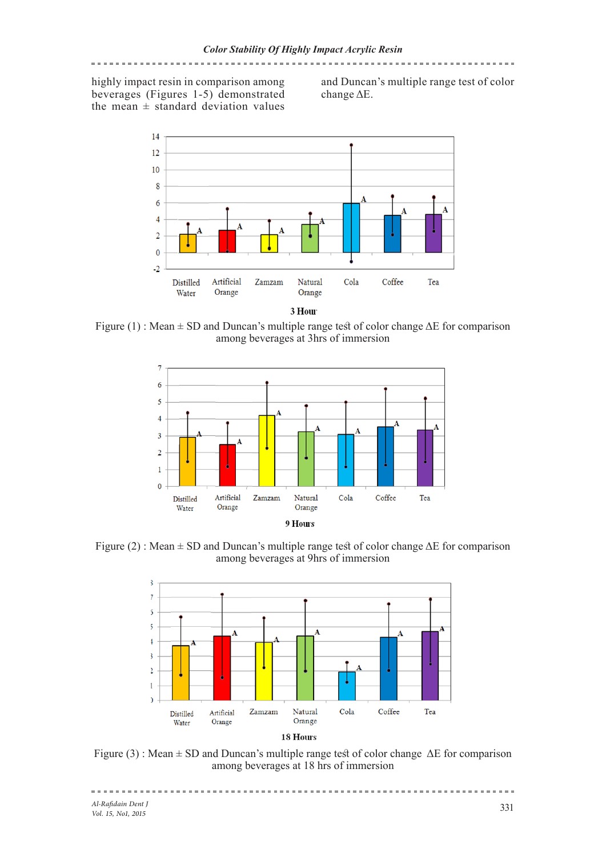# highly impact resin in comparison among beverages (Figures 1-5) demonstrated the mean  $\pm$  standard deviation values

and Duncan's multiple range test of color change ΔE.



3 Hour

Figure (1) : Mean ± SD and Duncan's multiple range test of color change ΔE for comparison among beverages at 3hrs of immersion



Figure (2) : Mean  $\pm$  SD and Duncan's multiple range test of color change  $\Delta E$  for comparison among beverages at 9hrs of immersion



Figure (3) : Mean  $\pm$  SD and Duncan's multiple range test of color change  $\Delta E$  for comparison among beverages at 18 hrs of immersion

===================================

<u> =====================</u>=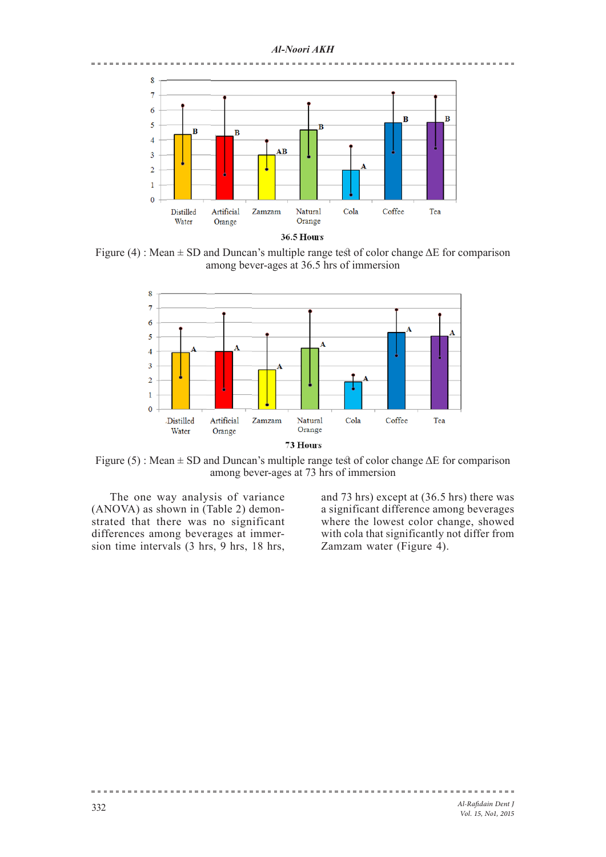### *Al-Noori AKH*



Figure (4) : Mean  $\pm$  SD and Duncan's multiple range test of color change  $\Delta E$  for comparison among bever-ages at 36.5 hrs of immersion



Figure (5) : Mean  $\pm$  SD and Duncan's multiple range test of color change  $\Delta E$  for comparison among bever-ages at 73 hrs of immersion

The one way analysis of variance (ANOVA) as shown in (Table 2) demonstrated that there was no significant differences among beverages at immersion time intervals (3 hrs, 9 hrs, 18 hrs,

and 73 hrs) except at (36.5 hrs) there was a significant difference among beverages where the lowest color change, showed with cola that significantly not differ from Zamzam water (Figure 4).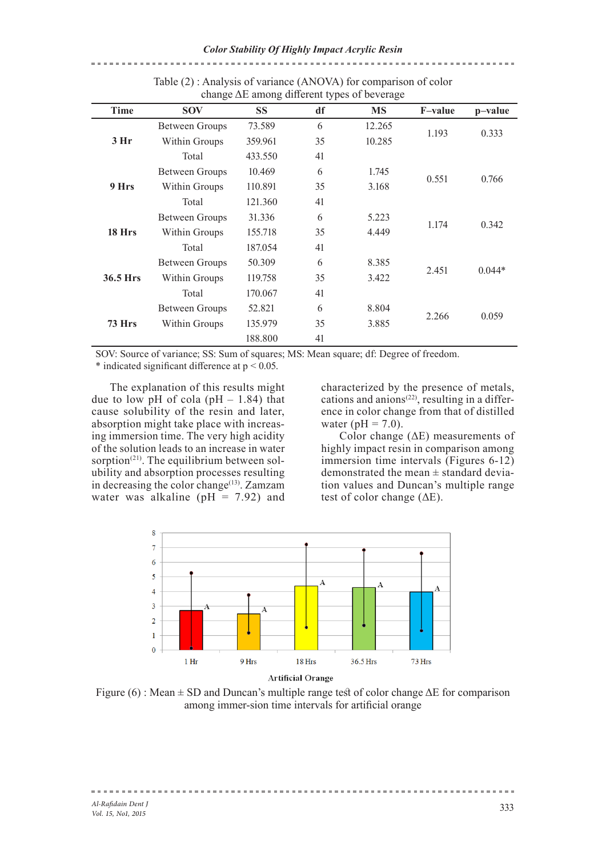| $\frac{1}{2}$ and $\frac{1}{2}$ and $\frac{1}{2}$ and $\frac{1}{2}$ are $\frac{1}{2}$ and $\frac{1}{2}$ are $\frac{1}{2}$ and $\frac{1}{2}$ are $\frac{1}{2}$ and $\frac{1}{2}$ are $\frac{1}{2}$ and $\frac{1}{2}$ are $\frac{1}{2}$ and $\frac{1}{2}$ are $\frac{1}{2}$ and $\frac{1}{2}$ a |                       |           |    |           |                |          |
|-----------------------------------------------------------------------------------------------------------------------------------------------------------------------------------------------------------------------------------------------------------------------------------------------|-----------------------|-----------|----|-----------|----------------|----------|
| Time                                                                                                                                                                                                                                                                                          | <b>SOV</b>            | <b>SS</b> | df | <b>MS</b> | <b>F-value</b> | p-value  |
| 3 Hr                                                                                                                                                                                                                                                                                          | <b>Between Groups</b> | 73.589    | 6  | 12.265    |                | 0.333    |
|                                                                                                                                                                                                                                                                                               | Within Groups         | 359.961   | 35 | 10.285    | 1.193          |          |
|                                                                                                                                                                                                                                                                                               | Total                 | 433.550   | 41 |           |                |          |
| 9 Hrs                                                                                                                                                                                                                                                                                         | <b>Between Groups</b> | 10.469    | 6  | 1.745     |                | 0.766    |
|                                                                                                                                                                                                                                                                                               | Within Groups         | 110.891   | 35 | 3.168     | 0.551          |          |
|                                                                                                                                                                                                                                                                                               | Total                 | 121.360   | 41 |           |                |          |
| 18 Hrs                                                                                                                                                                                                                                                                                        | Between Groups        | 31.336    | 6  | 5.223     |                | 0.342    |
|                                                                                                                                                                                                                                                                                               | Within Groups         | 155.718   | 35 | 4.449     | 1.174          |          |
|                                                                                                                                                                                                                                                                                               | Total                 | 187.054   | 41 |           |                |          |
| 36.5 Hrs                                                                                                                                                                                                                                                                                      | <b>Between Groups</b> | 50.309    | 6  | 8.385     |                | $0.044*$ |
|                                                                                                                                                                                                                                                                                               | Within Groups         | 119.758   | 35 | 3.422     | 2.451          |          |
|                                                                                                                                                                                                                                                                                               | Total                 | 170.067   | 41 |           |                |          |
| <b>73 Hrs</b>                                                                                                                                                                                                                                                                                 | Between Groups        | 52.821    | 6  | 8.804     |                | 0.059    |
|                                                                                                                                                                                                                                                                                               | Within Groups         | 135.979   | 35 | 3.885     | 2.266          |          |
|                                                                                                                                                                                                                                                                                               |                       | 188.800   | 41 |           |                |          |

Table (2) : Analysis of variance (ANOVA) for comparison of color change ΔE among different types of beverage

SOV: Source of variance; SS: Sum of squares; MS: Mean square; df: Degree of freedom.  $*$  indicated significant difference at  $p \le 0.05$ .

The explanation of this results might due to low pH of cola (pH  $- 1.84$ ) that cause solubility of the resin and later, absorption might take place with increasing immersion time. The very high acidity of the solution leads to an increase in water sorption<sup>(21)</sup>. The equilibrium between solubility and absorption processes resulting in decreasing the color change<sup> $(13)$ </sup>. Zamzam water was alkaline ( $pH = 7.92$ ) and

characterized by the presence of metals, cations and anions<sup>(22)</sup>, resulting in a difference in color change from that of distilled water ( $pH = 7.0$ ).

Color change (ΔE) measurements of highly impact resin in comparison among immersion time intervals (Figures 6-12) demonstrated the mean ± standard deviation values and Duncan's multiple range test of color change (ΔE).



Figure (6) : Mean  $\pm$  SD and Duncan's multiple range test of color change  $\Delta E$  for comparison among immer-sion time intervals for artificial orange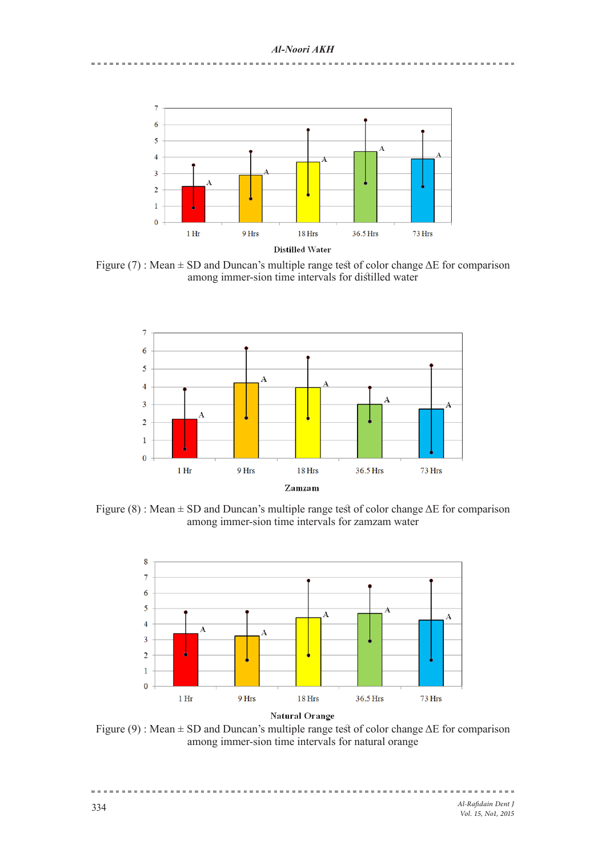

Figure (7) : Mean  $\pm$  SD and Duncan's multiple range test of color change  $\Delta E$  for comparison among immer-sion time intervals for distilled water



Figure (8) : Mean ± SD and Duncan's multiple range test of color change ΔE for comparison among immer-sion time intervals for zamzam water



Figure (9) : Mean  $\pm$  SD and Duncan's multiple range test of color change  $\Delta E$  for comparison among immer-sion time intervals for natural orange

= = = = = = = = = = = = = =

 $\equiv \; \equiv \; \equiv \; \equiv \; \equiv \; \equiv$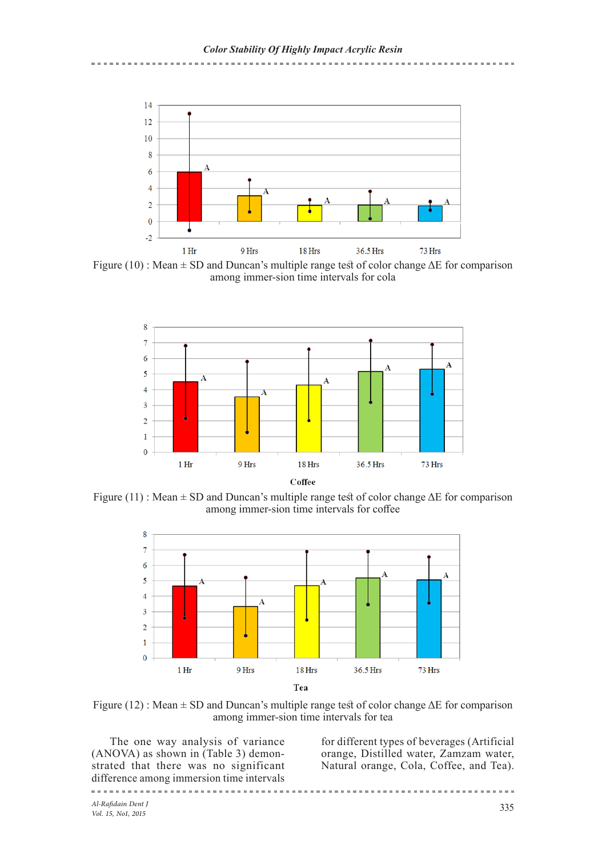-----------------------------------



Figure (10) : Mean  $\pm$  SD and Duncan's multiple range test of color change  $\Delta E$  for comparison among immer-sion time intervals for cola



Figure (11) : Mean  $\pm$  SD and Duncan's multiple range test of color change  $\Delta E$  for comparison among immer-sion time intervals for coffee



Figure (12) : Mean  $\pm$  SD and Duncan's multiple range test of color change  $\Delta E$  for comparison among immer-sion time intervals for tea

The one way analysis of variance (ANOVA) as shown in (Table 3) demonstrated that there was no significant difference among immersion time intervals

for different types of beverages (Artificial orange, Distilled water, Zamzam water, Natural orange, Cola, Coffee, and Tea).

<u>==============================</u>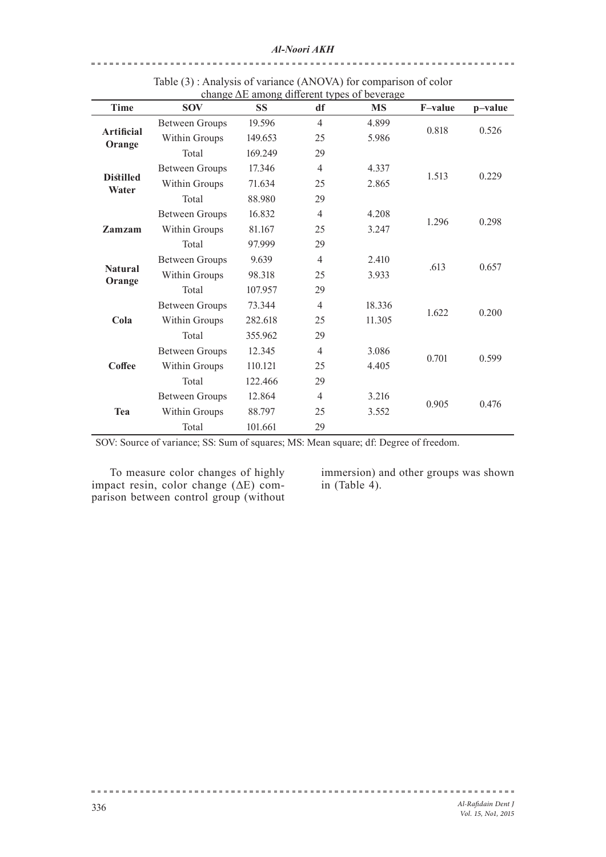| Time                        | <b>SOV</b>            | <b>SS</b> | df             | change AL among unicitie types of beverage<br><b>MS</b> | <b>F-value</b> | p-value |
|-----------------------------|-----------------------|-----------|----------------|---------------------------------------------------------|----------------|---------|
| <b>Artificial</b><br>Orange | <b>Between Groups</b> | 19.596    | $\overline{4}$ | 4.899                                                   |                | 0.526   |
|                             | Within Groups         | 149.653   | 25             | 5.986                                                   | 0.818          |         |
|                             | Total                 | 169.249   | 29             |                                                         |                |         |
| <b>Distilled</b><br>Water   | <b>Between Groups</b> | 17.346    | $\overline{4}$ | 4.337                                                   | 1.513          | 0.229   |
|                             | Within Groups         | 71.634    | 25             | 2.865                                                   |                |         |
|                             | Total                 | 88.980    | 29             |                                                         |                |         |
| Zamzam                      | <b>Between Groups</b> | 16.832    | $\overline{4}$ | 4.208                                                   | 1.296          | 0.298   |
|                             | Within Groups         | 81.167    | 25             | 3.247                                                   |                |         |
|                             | Total                 | 97.999    | 29             |                                                         |                |         |
| <b>Natural</b><br>Orange    | <b>Between Groups</b> | 9.639     | $\overline{4}$ | 2.410                                                   | .613           | 0.657   |
|                             | Within Groups         | 98.318    | 25             | 3.933                                                   |                |         |
|                             | Total                 | 107.957   | 29             |                                                         |                |         |
| Cola                        | <b>Between Groups</b> | 73.344    | $\overline{4}$ | 18.336                                                  | 1.622          | 0.200   |
|                             | Within Groups         | 282.618   | 25             | 11.305                                                  |                |         |
|                             | Total                 | 355.962   | 29             |                                                         |                |         |
| Coffee                      | <b>Between Groups</b> | 12.345    | $\overline{4}$ | 3.086                                                   | 0.701          | 0.599   |
|                             | Within Groups         | 110.121   | 25             | 4.405                                                   |                |         |
|                             | Total                 | 122.466   | 29             |                                                         |                |         |
| Tea                         | <b>Between Groups</b> | 12.864    | $\overline{4}$ | 3.216                                                   | 0.905          | 0.476   |
|                             | Within Groups         | 88.797    | 25             | 3.552                                                   |                |         |
|                             | Total                 | 101.661   | 29             |                                                         |                |         |

Table (3) : Analysis of variance (ANOVA) for comparison of color change ΔE among different types of beverage

SOV: Source of variance; SS: Sum of squares; MS: Mean square; df: Degree of freedom.

To measure color changes of highly impact resin, color change  $(\Delta E)$  comparison between control group (without

. . . . . . . . . .

immersion) and other groups was shown in (Table  $4$ ).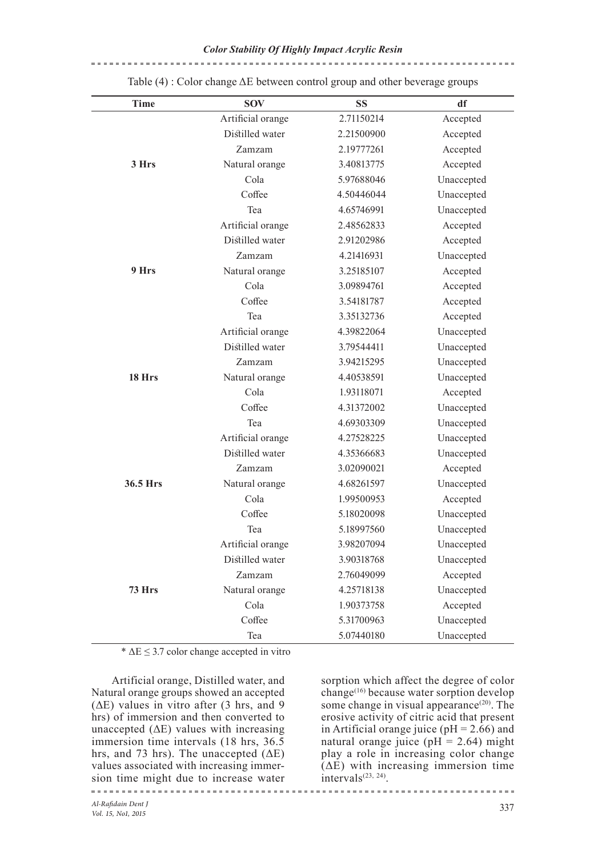| <b>Time</b> | <b>SOV</b>        | <b>SS</b>  | df         |
|-------------|-------------------|------------|------------|
|             | Artificial orange | 2.71150214 | Accepted   |
|             | Distilled water   | 2.21500900 | Accepted   |
|             | Zamzam            | 2.19777261 | Accepted   |
| 3 Hrs       | Natural orange    | 3.40813775 | Accepted   |
|             | Cola              | 5.97688046 | Unaccepted |
|             | Coffee            | 4.50446044 | Unaccepted |
|             | Tea               | 4.65746991 | Unaccepted |
|             | Artificial orange | 2.48562833 | Accepted   |
|             | Distilled water   | 2.91202986 | Accepted   |
|             | Zamzam            | 4.21416931 | Unaccepted |
| 9 Hrs       | Natural orange    | 3.25185107 | Accepted   |
|             | Cola              | 3.09894761 | Accepted   |
|             | Coffee            | 3.54181787 | Accepted   |
|             | Tea               | 3.35132736 | Accepted   |
|             | Artificial orange | 4.39822064 | Unaccepted |
|             | Distilled water   | 3.79544411 | Unaccepted |
|             | Zamzam            | 3.94215295 | Unaccepted |
| 18 Hrs      | Natural orange    | 4.40538591 | Unaccepted |
|             | Cola              | 1.93118071 | Accepted   |
|             | Coffee            | 4.31372002 | Unaccepted |
|             | Tea               | 4.69303309 | Unaccepted |
|             | Artificial orange | 4.27528225 | Unaccepted |
|             | Distilled water   | 4.35366683 | Unaccepted |
|             | Zamzam            | 3.02090021 | Accepted   |
| 36.5 Hrs    | Natural orange    | 4.68261597 | Unaccepted |
|             | Cola              | 1.99500953 | Accepted   |
|             | Coffee            | 5.18020098 | Unaccepted |
|             | Tea               | 5.18997560 | Unaccepted |
|             | Artificial orange | 3.98207094 | Unaccepted |
|             | Distilled water   | 3.90318768 | Unaccepted |
|             | Zamzam            | 2.76049099 | Accepted   |
| 73 Hrs      | Natural orange    | 4.25718138 | Unaccepted |
|             | Cola              | 1.90373758 | Accepted   |
|             | Coffee            | 5.31700963 | Unaccepted |
|             | Tea               | 5.07440180 | Unaccepted |

Table (4) : Color change ΔE between control group and other beverage groups

\*  $\Delta E \leq 3.7$  color change accepted in vitro

 Artificial orange, Distilled water, and Natural orange groups showed an accepted  $( \Delta E)$  values in vitro after (3 hrs, and 9) hrs) of immersion and then converted to unaccepted  $(\Delta E)$  values with increasing immersion time intervals (18 hrs, 36.5) hrs, and 73 hrs). The unaccepted  $( \Delta E)$ values associated with increasing immersion time might due to increase water

sorption which affect the degree of color change(16) because water sorption develop some change in visual appearance<sup>(20)</sup>. The erosive activity of citric acid that present in Artificial orange juice ( $pH = 2.66$ ) and natural orange juice ( $pH = 2.64$ ) might play a role in increasing color change  $(AE)$  with increasing immersion time  $intervals^{(23, 24)}$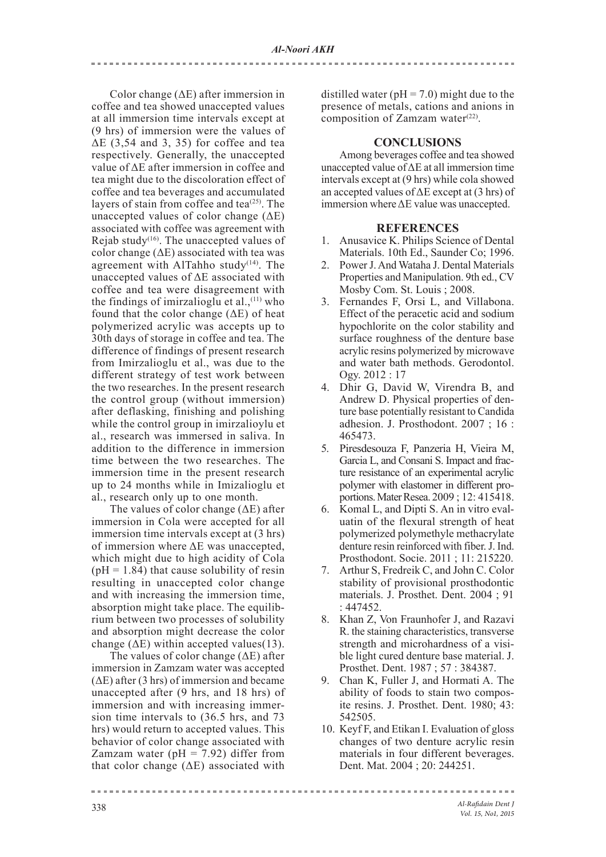------------------------

Color change (ΔE) after immersion in coffee and tea showed unaccepted values at all immersion time intervals except at (9 hrs) of immersion were the values of  $\Delta E$  (3,54 and 3, 35) for coffee and tea respectively. Generally, the unaccepted value of ΔE after immersion in coffee and tea might due to the discoloration effect of coffee and tea beverages and accumulated layers of stain from coffee and tea $(25)$ . The unaccepted values of color change  $(\Delta E)$ associated with coffee was agreement with Rejab study<sup>(16)</sup>. The unaccepted values of color change  $(\Delta E)$  associated with tea was agreement with AlTahho study<sup> $(14)$ </sup>. The unaccepted values of ΔE associated with coffee and tea were disagreement with the findings of imirzalioglu et al.,<sup>(11)</sup> who found that the color change  $(\Delta E)$  of heat polymerized acrylic was accepts up to 30th days of storage in coffee and tea. The difference of findings of present research from Imirzalioglu et al., was due to the different strategy of test work between the two researches. In the present research the control group (without immersion) after deflasking, finishing and polishing while the control group in imirzalioylu et al., research was immersed in saliva. In addition to the difference in immersion time between the two researches. The immersion time in the present research up to 24 months while in Imizalioglu et al., research only up to one month.

The values of color change  $(\Delta E)$  after immersion in Cola were accepted for all immersion time intervals except at (3 hrs) of immersion where ΔE was unaccepted, which might due to high acidity of Cola  $(pH = 1.84)$  that cause solubility of resin resulting in unaccepted color change and with increasing the immersion time, absorption might take place. The equilibrium between two processes of solubility and absorption might decrease the color change ( $\Delta E$ ) within accepted values(13).

The values of color change (ΔE) after immersion in Zamzam water was accepted  $( \Delta E )$  after (3 hrs) of immersion and became unaccepted after (9 hrs, and 18 hrs) of immersion and with increasing immersion time intervals to (36.5 hrs, and 73 hrs) would return to accepted values. This behavior of color change associated with Zamzam water ( $pH = 7.92$ ) differ from that color change (ΔE) associated with

distilled water ( $pH = 7.0$ ) might due to the presence of metals, cations and anions in composition of Zamzam water $(22)$ .

# **CONCLUSIONS**

Among beverages coffee and tea showed unaccepted value of ΔE at all immersion time intervals except at (9 hrs) while cola showed an accepted values of  $\Delta E$  except at (3 hrs) of immersion where ΔE value was unaccepted.

# **REFERENCES**

- 1. Anusavice K. Philips Science of Dental Materials. 10th Ed., Saunder Co; 1996.
- 2. Power J. And Wataha J. Dental Materials Properties and Manipulation. 9th ed., CV Mosby Com. St. Louis ; 2008.
- 3. Fernandes F, Orsi L, and Villabona. Effect of the peracetic acid and sodium hypochlorite on the color stability and surface roughness of the denture base acrylic resins polymerized by microwave and water bath methods. Gerodontol. Ogy. 2012 : 17
- 4. Dhir G, David W, Virendra B, and Andrew D. Physical properties of denture base potentially resistant to Candida adhesion. J. Prosthodont. 2007 ; 16 : 465473.
- 5. Piresdesouza F, Panzeria H, Vieira M, Garcia L, and Consani S. Impact and fracture resistance of an experimental acrylic polymer with elastomer in different proportions. Mater Resea. 2009 ; 12: 415418.
- 6. Komal L, and Dipti S. An in vitro evaluatin of the flexural strength of heat polymerized polymethyle methacrylate denture resin reinforced with fiber. J. Ind. Prosthodont. Socie. 2011 ; 11: 215220.
- 7. Arthur S, Fredreik C, and John C. Color stability of provisional prosthodontic materials. J. Prosthet. Dent. 2004 ; 91 : 447452.
- 8. Khan Z, Von Fraunhofer J, and Razavi R. the staining characteristics, transverse strength and microhardness of a visible light cured denture base material. J. Prosthet. Dent. 1987 ; 57 : 384387.
- 9. Chan K, Fuller J, and Hormati A. The ability of foods to stain two composite resins. J. Prosthet. Dent. 1980; 43: 542505.
- 10. Keyf F, and Etikan I. Evaluation of gloss changes of two denture acrylic resin materials in four different beverages. Dent. Mat. 2004 ; 20: 244251.